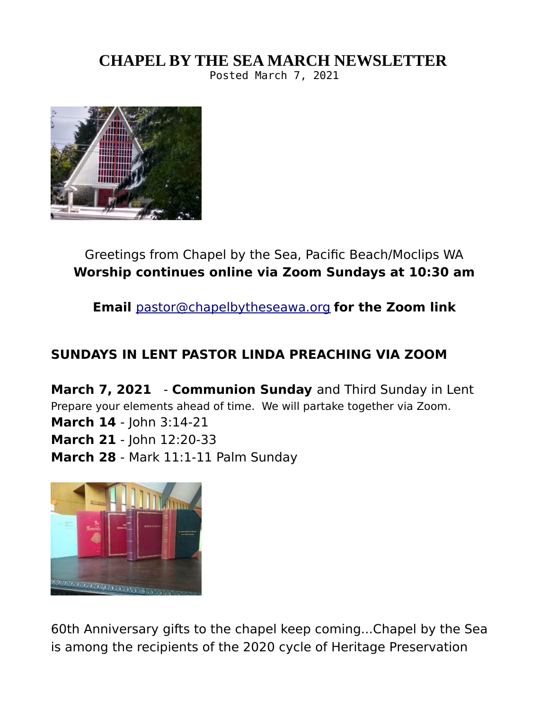## **CHAPEL BY THE SEA MARCH NEWSLETTER**

Posted March 7, 2021



Greetings from Chapel by the Sea, Pacific Beach/Moclips WA **Worship continues online via Zoom Sundays at 10:30 am**

**Email** [pastor@chapelbytheseawa.org](mailto:pastor@chapelbytheseawa.org) **for the Zoom link**

## **SUNDAYS IN LENT PASTOR LINDA PREACHING VIA ZOOM**

**March 7, 2021** - **Communion Sunday** and Third Sunday in Lent Prepare your elements ahead of time. We will partake together via Zoom. **March 14** - John 3:14-21 **March 21** - John 12:20-33 **March 28** - Mark 11:1-11 Palm Sunday



60th Anniversary gifts to the chapel keep coming...Chapel by the Sea is among the recipients of the 2020 cycle of Heritage Preservation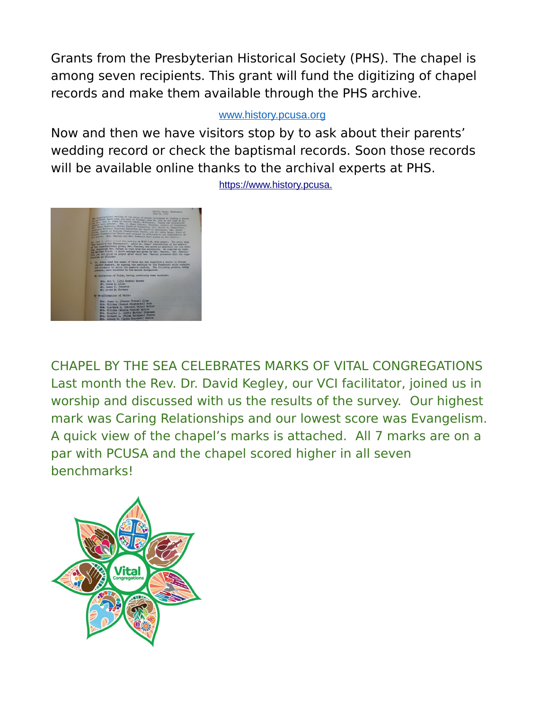Grants from the Presbyterian Historical Society (PHS). The chapel is among seven recipients. This grant will fund the digitizing of chapel records and make them available through the PHS archive.

#### [www.history.pcusa.org](http://www.history.pcusa.org/)

Now and then we have visitors stop by to ask about their parents' wedding record or check the baptismal records. Soon those records will be available online thanks to the archival experts at PHS.



[https://www.history.pcusa.](https://www.history.pcusa.org/blog/2021/02/phs-awards-seven-heritage-preservation-grants-churches)

CHAPEL BY THE SEA CELEBRATES MARKS OF VITAL CONGREGATIONS Last month the Rev. Dr. David Kegley, our VCI facilitator, joined us in worship and discussed with us the results of the survey. Our highest mark was Caring Relationships and our lowest score was Evangelism. A quick view of the chapel's marks is attached. All 7 marks are on a par with PCUSA and the chapel scored higher in all seven benchmarks!

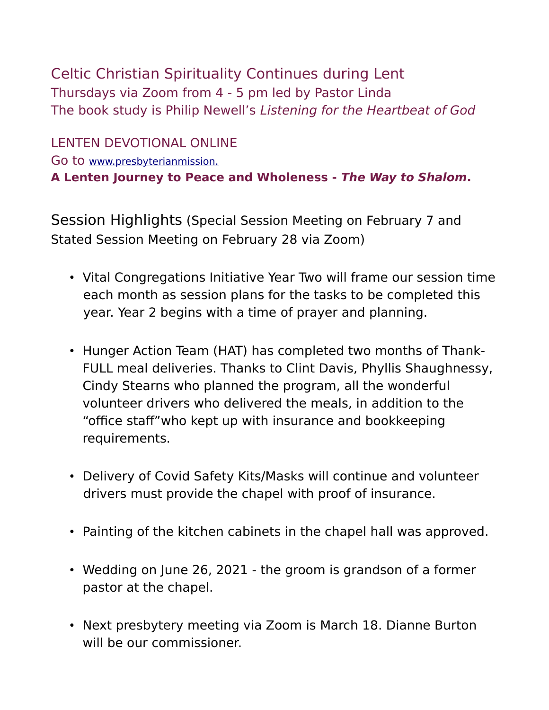Celtic Christian Spirituality Continues during Lent Thursdays via Zoom from 4 - 5 pm led by Pastor Linda The book study is Philip Newell's Listening for the Heartbeat of God

LENTEN DEVOTIONAL ONLINE Go to [www.presbyterianmission.](http://www.presbyterianmission.org/ministries/today/Lent2021) **A Lenten Journey to Peace and Wholeness - The Way to Shalom.**

Session Highlights (Special Session Meeting on February 7 and Stated Session Meeting on February 28 via Zoom)

- Vital Congregations Initiative Year Two will frame our session time each month as session plans for the tasks to be completed this year. Year 2 begins with a time of prayer and planning.
- Hunger Action Team (HAT) has completed two months of Thank-FULL meal deliveries. Thanks to Clint Davis, Phyllis Shaughnessy, Cindy Stearns who planned the program, all the wonderful volunteer drivers who delivered the meals, in addition to the "office staff"who kept up with insurance and bookkeeping requirements.
- Delivery of Covid Safety Kits/Masks will continue and volunteer drivers must provide the chapel with proof of insurance.
- Painting of the kitchen cabinets in the chapel hall was approved.
- Wedding on June 26, 2021 the groom is grandson of a former pastor at the chapel.
- Next presbytery meeting via Zoom is March 18. Dianne Burton will be our commissioner.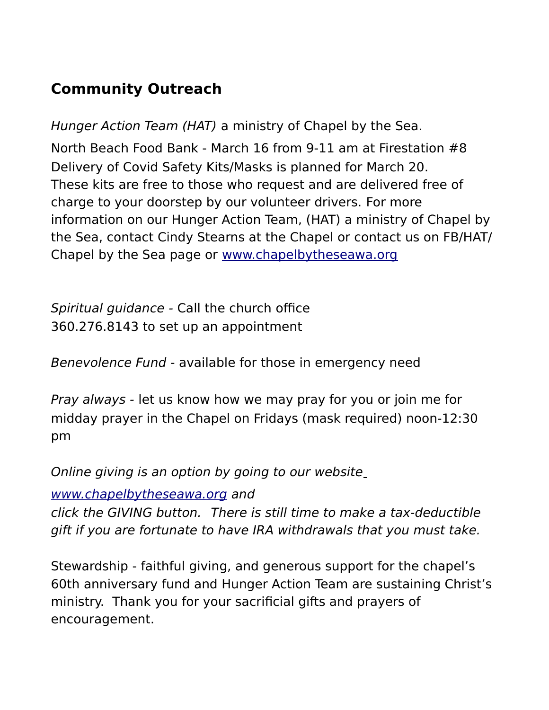# **Community Outreach**

Hunger Action Team (HAT) a ministry of Chapel by the Sea.

North Beach Food Bank - March 16 from 9-11 am at Firestation #8 Delivery of Covid Safety Kits/Masks is planned for March 20. These kits are free to those who request and are delivered free of charge to your doorstep by our volunteer drivers. For more information on our Hunger Action Team, (HAT) a ministry of Chapel by the Sea, contact Cindy Stearns at the Chapel or contact us on FB/HAT/ Chapel by the Sea page or [www.chapelbytheseawa.org](http://www.chapelbytheseawa.org/)

Spiritual guidance - Call the church office 360.276.8143 to set up an appointment

Benevolence Fund - available for those in emergency need

Pray always - let us know how we may pray for you or join me for midday prayer in the Chapel on Fridays (mask required) noon-12:30 pm

Online giving is an option by going to our website

[www.chapelbytheseawa.org](http://www.chapelbytheseawa.org/) and

click the GIVING button. There is still time to make a tax-deductible gift if you are fortunate to have IRA withdrawals that you must take.

Stewardship - faithful giving, and generous support for the chapel's 60th anniversary fund and Hunger Action Team are sustaining Christ's ministry. Thank you for your sacrificial gifts and prayers of encouragement.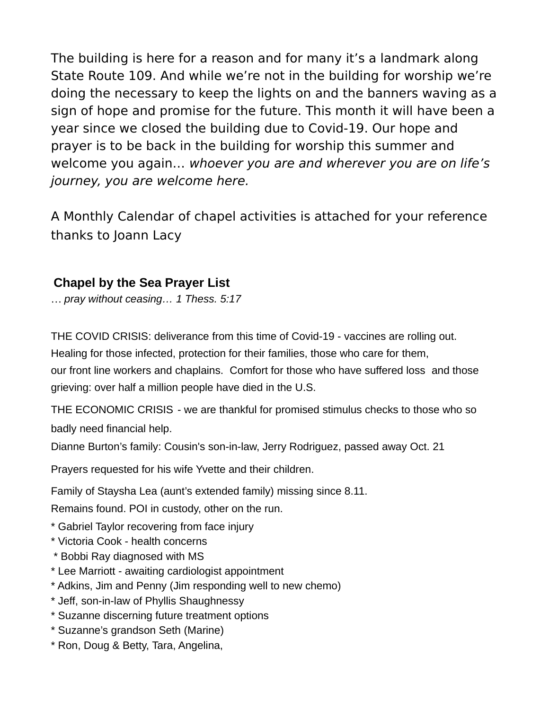The building is here for a reason and for many it's a landmark along State Route 109. And while we're not in the building for worship we're doing the necessary to keep the lights on and the banners waving as a sign of hope and promise for the future. This month it will have been a year since we closed the building due to Covid-19. Our hope and prayer is to be back in the building for worship this summer and welcome you again… whoever you are and wherever you are on life's journey, you are welcome here.

A Monthly Calendar of chapel activities is attached for your reference thanks to Joann Lacy

### **Chapel by the Sea Prayer List**

… *pray without ceasing… 1 Thess. 5:17*

THE COVID CRISIS: deliverance from this time of Covid-19 - vaccines are rolling out. Healing for those infected, protection for their families, those who care for them, our front line workers and chaplains. Comfort for those who have suffered loss and those grieving: over half a million people have died in the U.S.

THE ECONOMIC CRISIS - we are thankful for promised stimulus checks to those who so badly need financial help.

Dianne Burton's family: Cousin's son-in-law, Jerry Rodriguez, passed away Oct. 21

Prayers requested for his wife Yvette and their children.

Family of Staysha Lea (aunt's extended family) missing since 8.11.

Remains found. POI in custody, other on the run.

- \* Gabriel Taylor recovering from face injury
- \* Victoria Cook health concerns
- \* Bobbi Ray diagnosed with MS
- \* Lee Marriott awaiting cardiologist appointment
- \* Adkins, Jim and Penny (Jim responding well to new chemo)
- \* Jeff, son-in-law of Phyllis Shaughnessy
- \* Suzanne discerning future treatment options
- \* Suzanne's grandson Seth (Marine)
- \* Ron, Doug & Betty, Tara, Angelina,